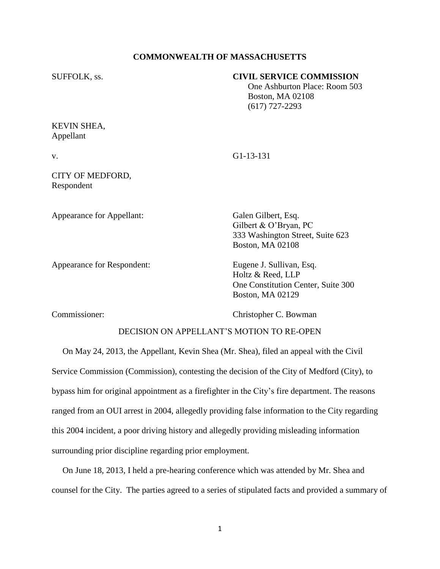#### **COMMONWEALTH OF MASSACHUSETTS**

#### SUFFOLK, ss. **CIVIL SERVICE COMMISSION**

 One Ashburton Place: Room 503 Boston, MA 02108 (617) 727-2293

# KEVIN SHEA, Appellant

v. G1-13-131

### CITY OF MEDFORD, Respondent

Appearance for Appellant: Galen Gilbert, Esq.

Appearance for Respondent: Eugene J. Sullivan, Esq.

Gilbert & O'Bryan, PC 333 Washington Street, Suite 623 Boston, MA 02108

Holtz & Reed, LLP One Constitution Center, Suite 300 Boston, MA 02129

Commissioner: Christopher C. Bowman

# DECISION ON APPELLANT'S MOTION TO RE-OPEN

 On May 24, 2013, the Appellant, Kevin Shea (Mr. Shea), filed an appeal with the Civil Service Commission (Commission), contesting the decision of the City of Medford (City), to bypass him for original appointment as a firefighter in the City's fire department. The reasons ranged from an OUI arrest in 2004, allegedly providing false information to the City regarding this 2004 incident, a poor driving history and allegedly providing misleading information surrounding prior discipline regarding prior employment.

 On June 18, 2013, I held a pre-hearing conference which was attended by Mr. Shea and counsel for the City. The parties agreed to a series of stipulated facts and provided a summary of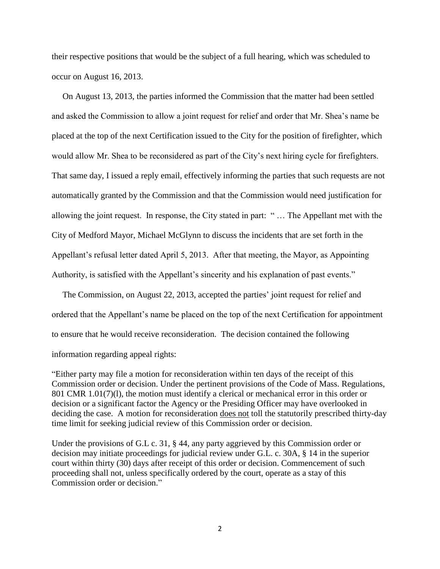their respective positions that would be the subject of a full hearing, which was scheduled to occur on August 16, 2013.

 On August 13, 2013, the parties informed the Commission that the matter had been settled and asked the Commission to allow a joint request for relief and order that Mr. Shea's name be placed at the top of the next Certification issued to the City for the position of firefighter, which would allow Mr. Shea to be reconsidered as part of the City's next hiring cycle for firefighters. That same day, I issued a reply email, effectively informing the parties that such requests are not automatically granted by the Commission and that the Commission would need justification for allowing the joint request. In response, the City stated in part: " … The Appellant met with the City of Medford Mayor, Michael McGlynn to discuss the incidents that are set forth in the Appellant's refusal letter dated April 5, 2013. After that meeting, the Mayor, as Appointing Authority, is satisfied with the Appellant's sincerity and his explanation of past events."

 The Commission, on August 22, 2013, accepted the parties' joint request for relief and ordered that the Appellant's name be placed on the top of the next Certification for appointment to ensure that he would receive reconsideration. The decision contained the following information regarding appeal rights:

"Either party may file a motion for reconsideration within ten days of the receipt of this Commission order or decision. Under the pertinent provisions of the Code of Mass. Regulations, 801 CMR 1.01(7)(1), the motion must identify a clerical or mechanical error in this order or decision or a significant factor the Agency or the Presiding Officer may have overlooked in deciding the case. A motion for reconsideration does not toll the statutorily prescribed thirty-day time limit for seeking judicial review of this Commission order or decision.

Under the provisions of G.L c. 31, § 44, any party aggrieved by this Commission order or decision may initiate proceedings for judicial review under G.L. c. 30A, § 14 in the superior court within thirty (30) days after receipt of this order or decision. Commencement of such proceeding shall not, unless specifically ordered by the court, operate as a stay of this Commission order or decision."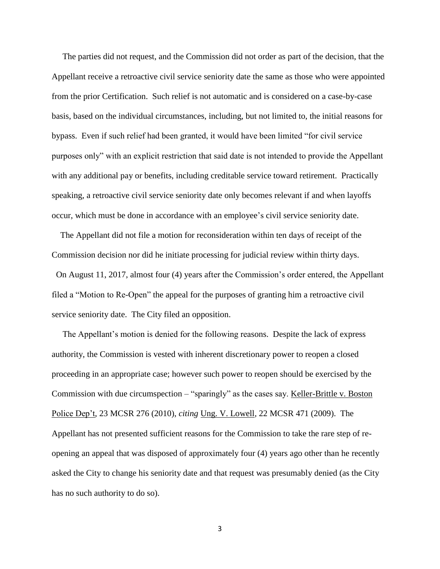The parties did not request, and the Commission did not order as part of the decision, that the Appellant receive a retroactive civil service seniority date the same as those who were appointed from the prior Certification. Such relief is not automatic and is considered on a case-by-case basis, based on the individual circumstances, including, but not limited to, the initial reasons for bypass. Even if such relief had been granted, it would have been limited "for civil service purposes only" with an explicit restriction that said date is not intended to provide the Appellant with any additional pay or benefits, including creditable service toward retirement. Practically speaking, a retroactive civil service seniority date only becomes relevant if and when layoffs occur, which must be done in accordance with an employee's civil service seniority date.

 The Appellant did not file a motion for reconsideration within ten days of receipt of the Commission decision nor did he initiate processing for judicial review within thirty days. On August 11, 2017, almost four (4) years after the Commission's order entered, the Appellant filed a "Motion to Re-Open" the appeal for the purposes of granting him a retroactive civil service seniority date. The City filed an opposition.

 The Appellant's motion is denied for the following reasons. Despite the lack of express authority, the Commission is vested with inherent discretionary power to reopen a closed proceeding in an appropriate case; however such power to reopen should be exercised by the Commission with due circumspection – "sparingly" as the cases say. Keller-Brittle v. Boston Police Dep't, 23 MCSR 276 (2010), *citing* Ung. V. Lowell, 22 MCSR 471 (2009). The Appellant has not presented sufficient reasons for the Commission to take the rare step of reopening an appeal that was disposed of approximately four (4) years ago other than he recently asked the City to change his seniority date and that request was presumably denied (as the City has no such authority to do so).

3